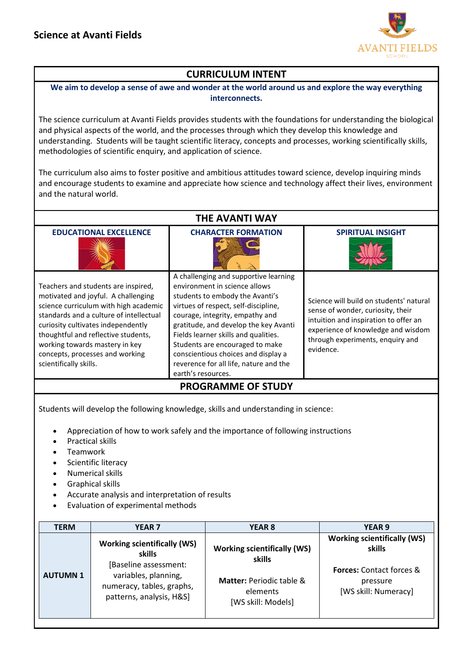

## **CURRICULUM INTENT**

**We aim to develop a sense of awe and wonder at the world around us and explore the way everything interconnects.**

The science curriculum at Avanti Fields provides students with the foundations for understanding the biological and physical aspects of the world, and the processes through which they develop this knowledge and understanding. Students will be taught scientific literacy, concepts and processes, working scientifically skills, methodologies of scientific enquiry, and application of science.

The curriculum also aims to foster positive and ambitious attitudes toward science, develop inquiring minds and encourage students to examine and appreciate how science and technology affect their lives, environment and the natural world.

| <b>THE AVANTI WAY</b>                                                                                                                                                                                                                                                                                                                      |                                                                                                                                                                                                                                                                                                                                                                                                                 |                                                                                                                                                                                                              |  |  |  |
|--------------------------------------------------------------------------------------------------------------------------------------------------------------------------------------------------------------------------------------------------------------------------------------------------------------------------------------------|-----------------------------------------------------------------------------------------------------------------------------------------------------------------------------------------------------------------------------------------------------------------------------------------------------------------------------------------------------------------------------------------------------------------|--------------------------------------------------------------------------------------------------------------------------------------------------------------------------------------------------------------|--|--|--|
| <b>EDUCATIONAL EXCELLENCE</b>                                                                                                                                                                                                                                                                                                              | <b>CHARACTER FORMATION</b>                                                                                                                                                                                                                                                                                                                                                                                      | <b>SPIRITUAL INSIGHT</b>                                                                                                                                                                                     |  |  |  |
| Teachers and students are inspired,<br>motivated and joyful. A challenging<br>science curriculum with high academic<br>standards and a culture of intellectual<br>curiosity cultivates independently<br>thoughtful and reflective students,<br>working towards mastery in key<br>concepts, processes and working<br>scientifically skills. | A challenging and supportive learning<br>environment in science allows<br>students to embody the Avanti's<br>virtues of respect, self-discipline,<br>courage, integrity, empathy and<br>gratitude, and develop the key Avanti<br>Fields learner skills and qualities.<br>Students are encouraged to make<br>conscientious choices and display a<br>reverence for all life, nature and the<br>earth's resources. | Science will build on students' natural<br>sense of wonder, curiosity, their<br>intuition and inspiration to offer an<br>experience of knowledge and wisdom<br>through experiments, enquiry and<br>evidence. |  |  |  |
| <b>PROGRAMME OF STUDY</b>                                                                                                                                                                                                                                                                                                                  |                                                                                                                                                                                                                                                                                                                                                                                                                 |                                                                                                                                                                                                              |  |  |  |
| Students will develop the following knowledge, skills and understanding in science:                                                                                                                                                                                                                                                        |                                                                                                                                                                                                                                                                                                                                                                                                                 |                                                                                                                                                                                                              |  |  |  |

- Appreciation of how to work safely and the importance of following instructions
- Practical skills
- Teamwork
- Scientific literacy
- Numerical skills
- Graphical skills
- Accurate analysis and interpretation of results
- Evaluation of experimental methods

| TERM           | <b>YEAR 7</b>                                                                                                                                          | <b>YEAR 8</b>                                                                                                         | <b>YEAR 9</b>                                                                                                       |
|----------------|--------------------------------------------------------------------------------------------------------------------------------------------------------|-----------------------------------------------------------------------------------------------------------------------|---------------------------------------------------------------------------------------------------------------------|
| <b>AUTUMN1</b> | <b>Working scientifically (WS)</b><br>skills<br>[Baseline assessment:<br>variables, planning,<br>numeracy, tables, graphs,<br>patterns, analysis, H&S] | <b>Working scientifically (WS)</b><br>skills<br><b>Matter: Periodic table &amp;</b><br>elements<br>[WS skill: Models] | <b>Working scientifically (WS)</b><br>skills<br><b>Forces:</b> Contact forces &<br>pressure<br>[WS skill: Numeracy] |
|                |                                                                                                                                                        |                                                                                                                       |                                                                                                                     |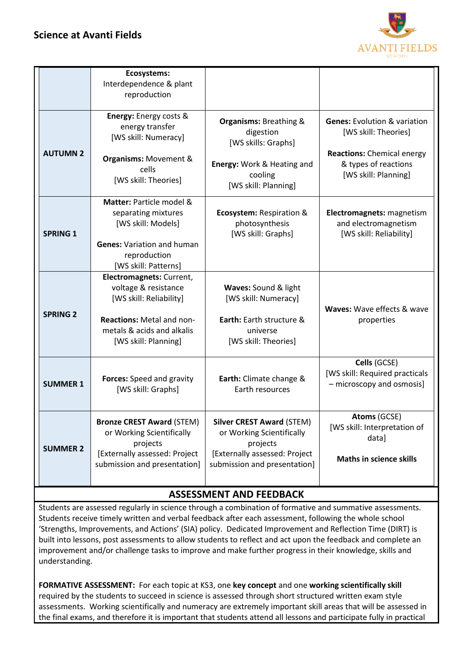

|                 | Ecosystems:<br>Interdependence & plant<br>reproduction                                                                                                         |                                                                                                                                            |                                                                                                                                                      |
|-----------------|----------------------------------------------------------------------------------------------------------------------------------------------------------------|--------------------------------------------------------------------------------------------------------------------------------------------|------------------------------------------------------------------------------------------------------------------------------------------------------|
| <b>AUTUMN 2</b> | Energy: Energy costs &<br>energy transfer<br>[WS skill: Numeracy]<br><b>Organisms: Movement &amp;</b><br>cells<br>[WS skill: Theories]                         | <b>Organisms: Breathing &amp;</b><br>digestion<br>[WS skills: Graphs]<br>Energy: Work & Heating and<br>cooling<br>[WS skill: Planning]     | <b>Genes: Evolution &amp; variation</b><br>[WS skill: Theories]<br><b>Reactions:</b> Chemical energy<br>& types of reactions<br>[WS skill: Planning] |
| <b>SPRING 1</b> | Matter: Particle model &<br>separating mixtures<br>[WS skill: Models]<br><b>Genes: Variation and human</b><br>reproduction<br>[WS skill: Patterns]             | <b>Ecosystem: Respiration &amp;</b><br>photosynthesis<br>[WS skill: Graphs]                                                                | Electromagnets: magnetism<br>and electromagnetism<br>[WS skill: Reliability]                                                                         |
| <b>SPRING 2</b> | Electromagnets: Current,<br>voltage & resistance<br>[WS skill: Reliability]<br>Reactions: Metal and non-<br>metals & acids and alkalis<br>[WS skill: Planning] | Waves: Sound & light<br>[WS skill: Numeracy]<br>Earth: Earth structure &<br>universe<br>[WS skill: Theories]                               | Waves: Wave effects & wave<br>properties                                                                                                             |
| <b>SUMMER 1</b> | Forces: Speed and gravity<br>[WS skill: Graphs]                                                                                                                | Earth: Climate change &<br>Earth resources                                                                                                 | Cells (GCSE)<br>[WS skill: Required practicals<br>- microscopy and osmosis]                                                                          |
| <b>SUMMER 2</b> | <b>Bronze CREST Award (STEM)</b><br>or Working Scientifically<br>projects<br>[Externally assessed: Project<br>submission and presentation]                     | <b>Silver CREST Award (STEM)</b><br>or Working Scientifically<br>projects<br>[Externally assessed: Project<br>submission and presentation] | Atoms (GCSE)<br>[WS skill: Interpretation of<br>data]<br><b>Maths in science skills</b>                                                              |

## **ASSESSMENT AND FEEDBACK**

Students are assessed regularly in science through a combination of formative and summative assessments. Students receive timely written and verbal feedback after each assessment, following the whole school 'Strengths, Improvements, and Actions' (SIA) policy. Dedicated Improvement and Reflection Time (DIRT) is built into lessons, post assessments to allow students to reflect and act upon the feedback and complete an improvement and/or challenge tasks to improve and make further progress in their knowledge, skills and understanding.

**FORMATIVE ASSESSMENT:** For each topic at KS3, one **key concept** and one **working scientifically skill** required by the students to succeed in science is assessed through short structured written exam style assessments. Working scientifically and numeracy are extremely important skill areas that will be assessed in the final exams, and therefore it is important that students attend all lessons and participate fully in practical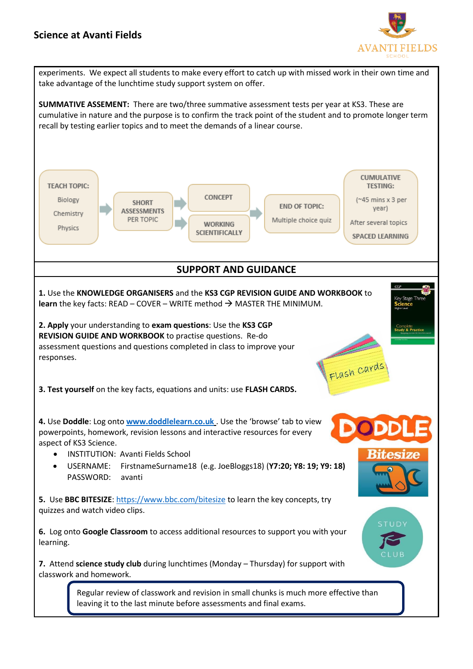## **Science at Avanti Fields**